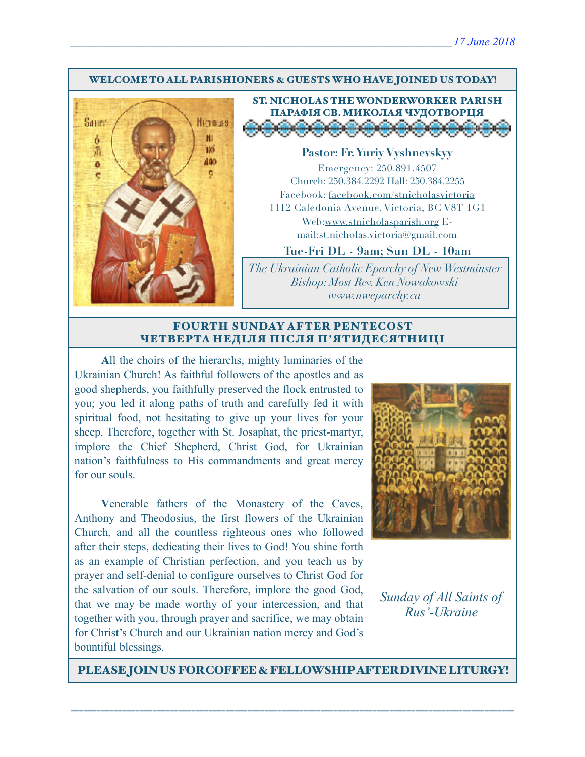#### WELCOME TO ALL PARISHIONERS & GUESTS WHO HAVE JOINED US TODAY!



### ST. NICHOLAS THE WONDERWORKER PARISH ПАРАФІЯ СВ. МИКОЛАЯ ЧУДОТВОРЦЯ <u>i a di se di di di di</u>

**Pastor: Fr. Yuriy Vyshnevskyy** Emergency: 250.891.4507 Church: 250.384.2292 Hall: 250.384.2255 Facebook: facebook.com/stnicholasvictoria 1112 Caledonia Avenue, Victoria, BC V8T 1G1 Web[:www.stnicholasparish.org](http://www.stnicholasparish.org) Email:[st.nicholas.victoria@gmail.com](mailto:st.nicholas.victoria@gmail.com)

**Tue-Fri DL - 9am; Sun DL - 10am**

*The Ukrainian Catholic Eparchy of New Westminster Bishop: Most Rev. Ken Nowakowski [www.nweparchy.ca](http://www.nweparchy.ca)*

#### FOURTH SUNDAY AFTER PENTECOST ЧЕТВЕРТА НЕДІЛЯ ПІСЛЯ П**'**ЯТИДЕСЯТНИЦІ

**A**ll the choirs of the hierarchs, mighty luminaries of the Ukrainian Church! As faithful followers of the apostles and as good shepherds, you faithfully preserved the flock entrusted to you; you led it along paths of truth and carefully fed it with spiritual food, not hesitating to give up your lives for your sheep. Therefore, together with St. Josaphat, the priest-martyr, implore the Chief Shepherd, Christ God, for Ukrainian nation's faithfulness to His commandments and great mercy for our souls.

**V**enerable fathers of the Monastery of the Caves, Anthony and Theodosius, the first flowers of the Ukrainian Church, and all the countless righteous ones who followed after their steps, dedicating their lives to God! You shine forth as an example of Christian perfection, and you teach us by prayer and self-denial to configure ourselves to Christ God for the salvation of our souls. Therefore, implore the good God, that we may be made worthy of your intercession, and that together with you, through prayer and sacrifice, we may obtain for Christ's Church and our Ukrainian nation mercy and God's bountiful blessings.



*Sunday of All Saints of Rus'-Ukraine* 

PLEASE JOIN US FOR COFFEE & FELLOWSHIP AFTER DIVINE LITURGY!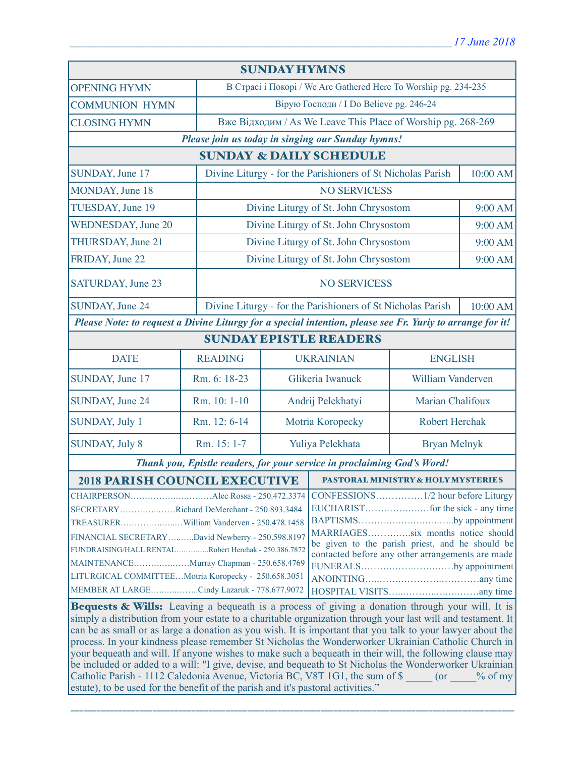| <b>SUNDAY HYMNS</b>                                                                                                                                                                                                                                                                                                                                                                                                                                                                                                                                                                                         |                |                                                                 |                                                             |                   |          |  |
|-------------------------------------------------------------------------------------------------------------------------------------------------------------------------------------------------------------------------------------------------------------------------------------------------------------------------------------------------------------------------------------------------------------------------------------------------------------------------------------------------------------------------------------------------------------------------------------------------------------|----------------|-----------------------------------------------------------------|-------------------------------------------------------------|-------------------|----------|--|
| <b>OPENING HYMN</b>                                                                                                                                                                                                                                                                                                                                                                                                                                                                                                                                                                                         |                | В Страсі і Покорі / We Are Gathered Here To Worship pg. 234-235 |                                                             |                   |          |  |
| <b>COMMUNION HYMN</b>                                                                                                                                                                                                                                                                                                                                                                                                                                                                                                                                                                                       |                | Вірую Господи / I Do Believe pg. 246-24                         |                                                             |                   |          |  |
| <b>CLOSING HYMN</b>                                                                                                                                                                                                                                                                                                                                                                                                                                                                                                                                                                                         |                | Вже Відходим / As We Leave This Place of Worship pg. 268-269    |                                                             |                   |          |  |
| Please join us today in singing our Sunday hymns!                                                                                                                                                                                                                                                                                                                                                                                                                                                                                                                                                           |                |                                                                 |                                                             |                   |          |  |
| <b>SUNDAY &amp; DAILY SCHEDULE</b>                                                                                                                                                                                                                                                                                                                                                                                                                                                                                                                                                                          |                |                                                                 |                                                             |                   |          |  |
| SUNDAY, June 17                                                                                                                                                                                                                                                                                                                                                                                                                                                                                                                                                                                             |                | Divine Liturgy - for the Parishioners of St Nicholas Parish     |                                                             |                   | 10:00 AM |  |
| MONDAY, June 18                                                                                                                                                                                                                                                                                                                                                                                                                                                                                                                                                                                             |                | <b>NO SERVICESS</b>                                             |                                                             |                   |          |  |
| TUESDAY, June 19                                                                                                                                                                                                                                                                                                                                                                                                                                                                                                                                                                                            |                |                                                                 | Divine Liturgy of St. John Chrysostom                       |                   | 9:00 AM  |  |
| <b>WEDNESDAY, June 20</b>                                                                                                                                                                                                                                                                                                                                                                                                                                                                                                                                                                                   |                |                                                                 | Divine Liturgy of St. John Chrysostom                       |                   | 9:00 AM  |  |
| THURSDAY, June 21                                                                                                                                                                                                                                                                                                                                                                                                                                                                                                                                                                                           |                |                                                                 | Divine Liturgy of St. John Chrysostom                       |                   | 9:00 AM  |  |
| FRIDAY, June 22                                                                                                                                                                                                                                                                                                                                                                                                                                                                                                                                                                                             |                | Divine Liturgy of St. John Chrysostom                           |                                                             |                   |          |  |
| SATURDAY, June 23                                                                                                                                                                                                                                                                                                                                                                                                                                                                                                                                                                                           |                | <b>NO SERVICESS</b>                                             |                                                             |                   |          |  |
| SUNDAY, June 24                                                                                                                                                                                                                                                                                                                                                                                                                                                                                                                                                                                             |                |                                                                 | Divine Liturgy - for the Parishioners of St Nicholas Parish |                   | 10:00 AM |  |
| Please Note: to request a Divine Liturgy for a special intention, please see Fr. Yuriy to arrange for it!                                                                                                                                                                                                                                                                                                                                                                                                                                                                                                   |                |                                                                 |                                                             |                   |          |  |
| <b>SUNDAY EPISTLE READERS</b>                                                                                                                                                                                                                                                                                                                                                                                                                                                                                                                                                                               |                |                                                                 |                                                             |                   |          |  |
| <b>DATE</b>                                                                                                                                                                                                                                                                                                                                                                                                                                                                                                                                                                                                 | <b>READING</b> | <b>UKRAINIAN</b>                                                |                                                             | <b>ENGLISH</b>    |          |  |
| SUNDAY, June 17                                                                                                                                                                                                                                                                                                                                                                                                                                                                                                                                                                                             | Rm. 6: 18-23   | Glikeria Iwanuck                                                |                                                             | William Vanderven |          |  |
| SUNDAY, June 24                                                                                                                                                                                                                                                                                                                                                                                                                                                                                                                                                                                             | Rm. 10: 1-10   | Andrij Pelekhatyi                                               |                                                             | Marian Chalifoux  |          |  |
| SUNDAY, July 1                                                                                                                                                                                                                                                                                                                                                                                                                                                                                                                                                                                              | Rm. 12: 6-14   | Motria Koropecky                                                |                                                             | Robert Herchak    |          |  |
| <b>SUNDAY, July 8</b>                                                                                                                                                                                                                                                                                                                                                                                                                                                                                                                                                                                       | Rm. 15: 1-7    | Yuliya Pelekhata                                                |                                                             | Bryan Melnyk      |          |  |
| Thank you, Epistle readers, for your service in proclaiming God's Word!                                                                                                                                                                                                                                                                                                                                                                                                                                                                                                                                     |                |                                                                 |                                                             |                   |          |  |
| <b>2018 PARISH COUNCIL EXECUTIVE</b>                                                                                                                                                                                                                                                                                                                                                                                                                                                                                                                                                                        |                |                                                                 | <b>PASTORAL MINISTRY &amp; HOLY MYSTERIES</b>               |                   |          |  |
| SECRETARYRichard DeMerchant - 250.893.3484<br>BAPTISMSby appointment<br>MARRIAGESsix months notice should<br>FINANCIAL SECRETARYDavid Newberry - 250.598.8197<br>be given to the parish priest, and he should be<br>FUNDRAISING/HALL RENTALRobert Herchak - 250.386.7872<br>contacted before any other arrangements are made<br>MAINTENANCEMurray Chapman - 250.658.4769<br>FUNERALSby appointment<br>LITURGICAL COMMITTEEMotria Koropecky - 250.658.3051<br>MEMBER AT LARGECindy Lazaruk - 778.677.9072<br>Bequests & Wills: Leaving a bequeath is a process of giving a donation through your will. It is |                |                                                                 |                                                             |                   |          |  |
| simply a distribution from your estate to a charitable organization through your last will and testament. It                                                                                                                                                                                                                                                                                                                                                                                                                                                                                                |                |                                                                 |                                                             |                   |          |  |

simply a distribution from your estate to a charitable organization through your last will and testament. It can be as small or as large a donation as you wish. It is important that you talk to your lawyer about the process. In your kindness please remember St Nicholas the Wonderworker Ukrainian Catholic Church in your bequeath and will. If anyone wishes to make such a bequeath in their will, the following clause may be included or added to a will: "I give, devise, and bequeath to St Nicholas the Wonderworker Ukrainian Catholic Parish - 1112 Caledonia Avenue, Victoria BC, V8T 1G1, the sum of \$ \_\_\_\_\_ (or \_\_\_\_% of my estate), to be used for the benefit of the parish and it's pastoral activities."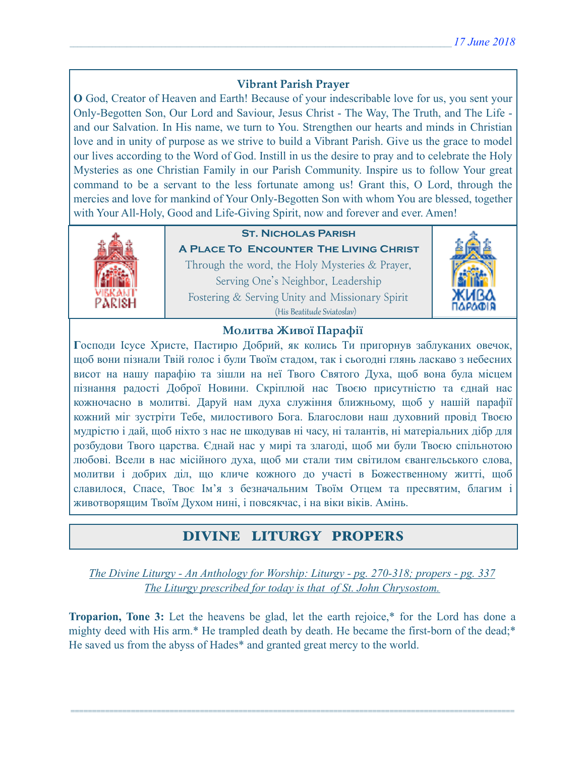# **Vibrant Parish Prayer**

**O** God, Creator of Heaven and Earth! Because of your indescribable love for us, you sent your Only-Begotten Son, Our Lord and Saviour, Jesus Christ - The Way, The Truth, and The Life and our Salvation. In His name, we turn to You. Strengthen our hearts and minds in Christian love and in unity of purpose as we strive to build a Vibrant Parish. Give us the grace to model our lives according to the Word of God. Instill in us the desire to pray and to celebrate the Holy Mysteries as one Christian Family in our Parish Community. Inspire us to follow Your great command to be a servant to the less fortunate among us! Grant this, O Lord, through the mercies and love for mankind of Your Only-Begotten Son with whom You are blessed, together with Your All-Holy, Good and Life-Giving Spirit, now and forever and ever. Amen!



### **St. Nicholas Parish**

**A Place To Encounter The Living Christ** Through the word, the Holy Mysteries & Prayer, Serving One's Neighbor, Leadership Fostering & Serving Unity and Missionary Spirit (His Beatitude Sviatoslav)



### **Молитва Живої Парафії**

**Г**осподи Ісусе Христе, Пастирю Добрий, як колись Ти пригорнув заблуканих овечок, щоб вони пізнали Твій голос і були Твоїм стадом, так і сьогодні глянь ласкаво з небесних висот на нашу парафію та зішли на неї Твого Святого Духа, щоб вона була місцем пізнання радості Доброї Новини. Скріплюй нас Твоєю присутністю та єднай нас кожночасно в молитві. Даруй нам духа служіння ближньому, щоб у нашій парафії кожний міг зустріти Тебе, милостивого Бога. Благослови наш духовний провід Твоєю мудрістю і дай, щоб ніхто з нас не шкодував ні часу, ні талантів, ні матеріальних дібр для розбудови Твого царства. Єднай нас у мирі та злагоді, щоб ми були Твоєю спільнотою любові. Всели в нас місійного духа, щоб ми стали тим світилом євангельського слова, молитви і добрих діл, що кличе кожного до участі в Божественному житті, щоб славилося, Спасе, Твоє Ім'я з безначальним Твоїм Отцем та пресвятим, благим і животворящим Твоїм Духом нині, і повсякчас, і на віки віків. Амінь.

# DIVINE LITURGY PROPERS

*The Divine Liturgy - An Anthology for Worship: Liturgy - pg. 270-318; propers - pg. 337 The Liturgy prescribed for today is that of St. John Chrysostom.* 

**Troparion, Tone 3:** Let the heavens be glad, let the earth rejoice,\* for the Lord has done a mighty deed with His arm.\* He trampled death by death. He became the first-born of the dead;\* He saved us from the abyss of Hades\* and granted great mercy to the world.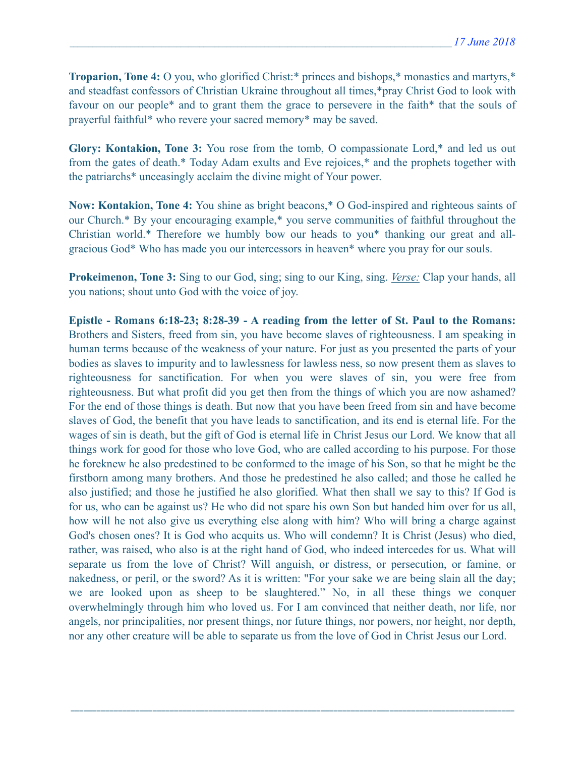**Troparion, Tone 4:** O you, who glorified Christ:\* princes and bishops,\* monastics and martyrs,\* and steadfast confessors of Christian Ukraine throughout all times,\*pray Christ God to look with favour on our people\* and to grant them the grace to persevere in the faith\* that the souls of prayerful faithful\* who revere your sacred memory\* may be saved.

**Glory: Kontakion, Tone 3:** You rose from the tomb, O compassionate Lord,\* and led us out from the gates of death.\* Today Adam exults and Eve rejoices,\* and the prophets together with the patriarchs\* unceasingly acclaim the divine might of Your power.

**Now: Kontakion, Tone 4:** You shine as bright beacons,\* O God-inspired and righteous saints of our Church.\* By your encouraging example,\* you serve communities of faithful throughout the Christian world.\* Therefore we humbly bow our heads to you\* thanking our great and allgracious God\* Who has made you our intercessors in heaven\* where you pray for our souls.

**Prokeimenon, Tone 3:** Sing to our God, sing; sing to our King, sing. *Verse:* Clap your hands, all you nations; shout unto God with the voice of joy.

**Epistle - Romans 6:18-23; 8:28-39 - A reading from the letter of St. Paul to the Romans:** Brothers and Sisters, freed from sin, you have become slaves of righteousness. I am speaking in human terms because of the weakness of your nature. For just as you presented the parts of your bodies as slaves to impurity and to lawlessness for lawless ness, so now present them as slaves to righteousness for sanctification. For when you were slaves of sin, you were free from righteousness. But what profit did you get then from the things of which you are now ashamed? For the end of those things is death. But now that you have been freed from sin and have become slaves of God, the benefit that you have leads to sanctification, and its end is eternal life. For the wages of sin is death, but the gift of God is eternal life in Christ Jesus our Lord. We know that all things work for good for those who love God, who are called according to his purpose. For those he foreknew he also predestined to be conformed to the image of his Son, so that he might be the firstborn among many brothers. And those he predestined he also called; and those he called he also justified; and those he justified he also glorified. What then shall we say to this? If God is for us, who can be against us? He who did not spare his own Son but handed him over for us all, how will he not also give us everything else along with him? Who will bring a charge against God's chosen ones? It is God who acquits us. Who will condemn? It is Christ (Jesus) who died, rather, was raised, who also is at the right hand of God, who indeed intercedes for us. What will separate us from the love of Christ? Will anguish, or distress, or persecution, or famine, or nakedness, or peril, or the sword? As it is written: "For your sake we are being slain all the day; we are looked upon as sheep to be slaughtered." No, in all these things we conquer overwhelmingly through him who loved us. For I am convinced that neither death, nor life, nor angels, nor principalities, nor present things, nor future things, nor powers, nor height, nor depth, nor any other creature will be able to separate us from the love of God in Christ Jesus our Lord.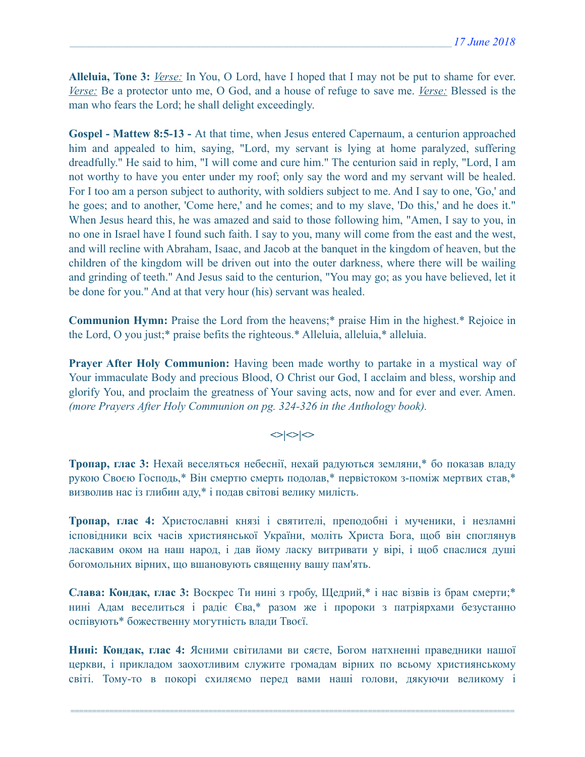**Alleluia, Tone 3:** *Verse:* In You, O Lord, have I hoped that I may not be put to shame for ever. *Verse:* Be a protector unto me, O God, and a house of refuge to save me. *Verse:* Blessed is the man who fears the Lord; he shall delight exceedingly.

**Gospel - Mattew 8:5-13 -** At that time, when Jesus entered Capernaum, a centurion approached him and appealed to him, saying, "Lord, my servant is lying at home paralyzed, suffering dreadfully." He said to him, "I will come and cure him." The centurion said in reply, "Lord, I am not worthy to have you enter under my roof; only say the word and my servant will be healed. For I too am a person subject to authority, with soldiers subject to me. And I say to one, 'Go,' and he goes; and to another, 'Come here,' and he comes; and to my slave, 'Do this,' and he does it." When Jesus heard this, he was amazed and said to those following him, "Amen, I say to you, in no one in Israel have I found such faith. I say to you, many will come from the east and the west, and will recline with Abraham, Isaac, and Jacob at the banquet in the kingdom of heaven, but the children of the kingdom will be driven out into the outer darkness, where there will be wailing and grinding of teeth." And Jesus said to the centurion, "You may go; as you have believed, let it be done for you." And at that very hour (his) servant was healed.

**Communion Hymn:** Praise the Lord from the heavens;\* praise Him in the highest.\* Rejoice in the Lord, O you just;\* praise befits the righteous.\* Alleluia, alleluia,\* alleluia.

**Prayer After Holy Communion:** Having been made worthy to partake in a mystical way of Your immaculate Body and precious Blood, O Christ our God, I acclaim and bless, worship and glorify You, and proclaim the greatness of Your saving acts, now and for ever and ever. Amen. *(more Prayers After Holy Communion on pg. 324-326 in the Anthology book).* 

### $\langle$

**Тропар, глас 3:** Нехай веселяться небеснії, нехай радуються земляни,\* бо показав владу рукою Своєю Господь,\* Він смертю смерть подолав,\* первістоком з-поміж мертвих став,\* визволив нас із глибин аду,\* і подав світові велику милість.

**Тропар, глас 4:** Христославні князі і святителі, преподобні і мученики, і незламні ісповідники всіх часів християнської України, моліть Христа Бога, щоб він споглянув ласкавим оком на наш народ, і дав йому ласку витривати у вірі, і щоб спаслися душі богомольних вірних, що вшановують священну вашу пам'ять.

**Слава: Кондак, глас 3:** Воскрес Ти нині з гробу, Щедрий,\* і нас візвів із брам смерти;\* нині Адам веселиться і радіє Єва,\* разом же і пророки з патріярхами безустанно оспівують\* божественну могутність влади Твоєї.

**Нині: Кондак, глас 4:** Ясними світилами ви сяєте, Богом натхненні праведники нашої церкви, і прикладом заохотливим служите громадам вірних по всьому християнському світі. Тому-то в покорі схиляємо перед вами наші голови, дякуючи великому і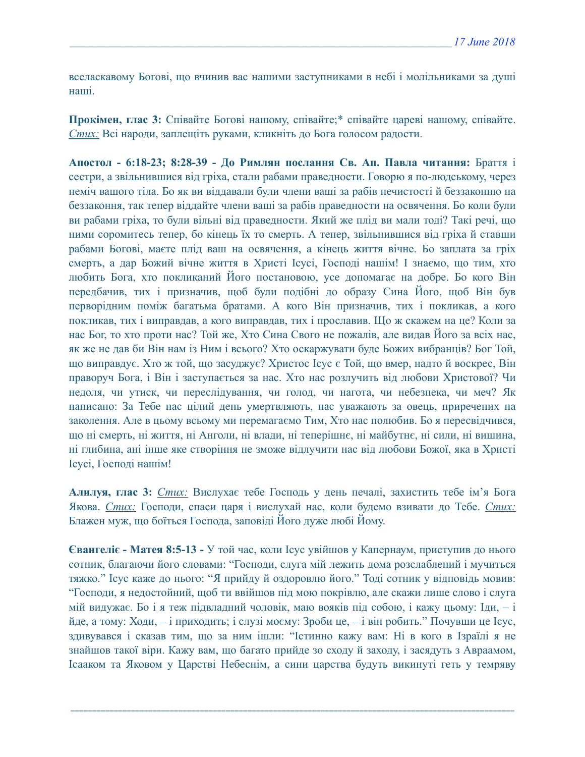вселаскавому Богові, що вчинив вас нашими заступниками в небі і молільниками за душі наші.

**Прокімен, глас 3:** Співайте Богові нашому, співайте;\* співайте цареві нашому, співайте. *Стих:* Всі народи, заплещіть руками, кликніть до Бога голосом радости.

**Апостол - 6:18-23; 8:28-39 - До Римлян послання Св. Ап. Павла читання:** Браття і сестри, a звільнившися від гріха, стали рабами праведности. Говорю я по-людському, через неміч вашого тіла. Бо як ви віддавали були члени ваші за рабів нечистості й беззаконню на беззаконня, так тепер віддайте члени ваші за рабів праведности на освячення. Бо коли були ви рабами гріха, то були вільні від праведности. Який же плід ви мали тоді? Такі речі, що ними соромитесь тепер, бо кінець їх то смерть. А тепер, звільнившися від гріха й ставши рабами Богові, маєте плід ваш на освячення, а кінець життя вічне. Бо заплата за гріх смерть, а дар Божий вічне життя в Христі Ісусі, Господі нашім! І знаємо, що тим, хто любить Бога, хто покликаний Його постановою, усе допомагає на добре. Бо кого Він передбачив, тих і призначив, щоб були подібні до образу Сина Його, щоб Він був перворідним поміж багатьма братами. А кого Він призначив, тих і покликав, а кого покликав, тих і виправдав, а кого виправдав, тих і прославив. Що ж скажем на це? Коли за нас Бог, то хто проти нас? Той же, Хто Сина Свого не пожалів, але видав Його за всіх нас, як же не дав би Він нам із Ним і всього? Хто оскаржувати буде Божих вибранців? Бог Той, що виправдує. Хто ж той, що засуджує? Христос Ісус є Той, що вмер, надто й воскрес, Він праворуч Бога, і Він і заступається за нас. Хто нас розлучить від любови Христової? Чи недоля, чи утиск, чи переслідування, чи голод, чи нагота, чи небезпека, чи меч? Як написано: За Тебе нас цілий день умертвляють, нас уважають за овець, приречених на заколення. Але в цьому всьому ми перемагаємо Тим, Хто нас полюбив. Бо я пересвідчився, що ні смерть, ні життя, ні Анголи, ні влади, ні теперішнє, ні майбутнє, ні сили, ні вишина, ні глибина, ані інше яке створіння не зможе відлучити нас від любови Божої, яка в Христі Ісусі, Господі нашім!

**Алилуя, глас 3:** *Стих:* Вислухає тебе Господь у день печалі, захистить тебе ім'я Бога Якова. *Стих:* Господи, спаси царя і вислухай нас, коли будемо взивати до Тебе. *Стих:*  Блажен муж, що боїться Господа, заповіді Його дуже любі Йому.

**Євангеліє - Матея 8:5-13 -** У той час, коли Ісус увійшов у Капернаум, приступив до нього сотник, благаючи його словами: "Господи, слуга мій лежить дома розслаблений і мучиться тяжко." Ісус каже до нього: "Я прийду й оздоровлю його." Тоді сотник у відповідь мовив: "Господи, я недостойний, щоб ти ввійшов під мою покрівлю, але скажи лише слово і слуга мій видужає. Бо і я теж підвладний чоловік, маю вояків під собою, і кажу цьому: Іди, – і йде, а тому: Ходи, – і приходить; і слузі моєму: Зроби це, – і він робить." Почувши це Ісус, здивувався і сказав тим, що за ним ішли: "Істинно кажу вам: Ні в кого в Ізраїлі я не знайшов такої віри. Кажу вам, що багато прийде зо сходу й заходу, і засядуть з Авраамом, Ісааком та Яковом у Царстві Небеснім, а сини царства будуть викинуті геть у темряву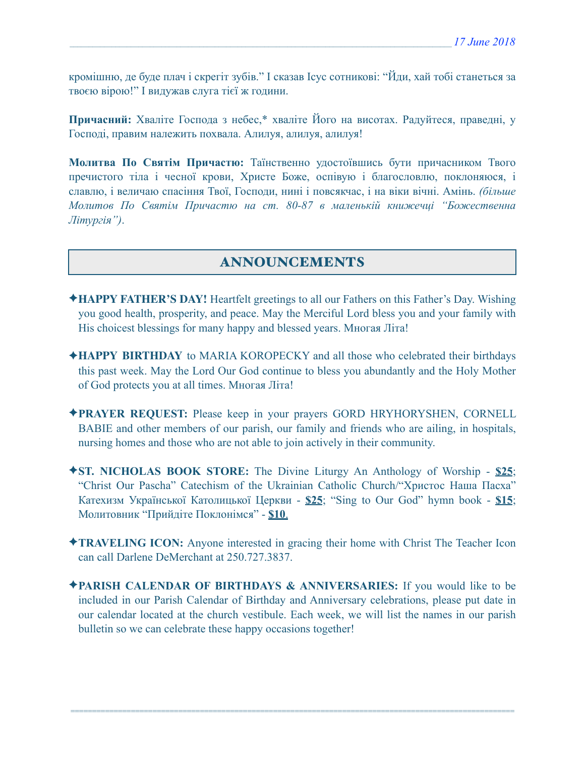кромішню, де буде плач і скрегіт зубів." І сказав Ісус сотникові: "Йди, хай тобі станеться за твоєю вірою!" І видужав слуга тієї ж години.

**Причасний:** Хваліте Господа з небес,\* хваліте Його на висотах. Радуйтеся, праведні, у Господі, правим належить похвала. Алилуя, алилуя, алилуя!

**Молитва По Святім Причастю:** Таїнственно удостоївшись бути причасником Твого пречистого тіла і чесної крови, Христе Боже, оспівую і благословлю, поклоняюся, і славлю, і величаю спасіння Твої, Господи, нині і повсякчас, і на віки вічні. Амінь. *(більше Молитов По Святім Причастю на ст. 80-87 в маленькій книжечці "Божественна Літургія")*.

# ANNOUNCEMENTS

- ✦**HAPPY FATHER'S DAY!** Heartfelt greetings to all our Fathers on this Father's Day. Wishing you good health, prosperity, and peace. May the Merciful Lord bless you and your family with His choicest blessings for many happy and blessed years. Многая Літа!
- ✦**HAPPY BIRTHDAY** to MARIA KOROPECKY and all those who celebrated their birthdays this past week. May the Lord Our God continue to bless you abundantly and the Holy Mother of God protects you at all times. Многая Літа!
- ✦**PRAYER REQUEST:** Please keep in your prayers GORD HRYHORYSHEN, CORNELL BABIE and other members of our parish, our family and friends who are ailing, in hospitals, nursing homes and those who are not able to join actively in their community.
- ✦**ST. NICHOLAS BOOK STORE:** The Divine Liturgy An Anthology of Worship **\$25**; "Christ Our Pascha" Catechism of the Ukrainian Catholic Church/"Христос Наша Пасха" Катехизм Української Католицької Церкви - **\$25**; "Sing to Our God" hymn book - **\$15**; Молитовник "Прийдіте Поклонімся" - **\$10**.
- ✦**TRAVELING ICON:** Anyone interested in gracing their home with Christ The Teacher Icon can call Darlene DeMerchant at 250.727.3837.
- ✦**PARISH CALENDAR OF BIRTHDAYS & ANNIVERSARIES:** If you would like to be included in our Parish Calendar of Birthday and Anniversary celebrations, please put date in our calendar located at the church vestibule. Each week, we will list the names in our parish bulletin so we can celebrate these happy occasions together!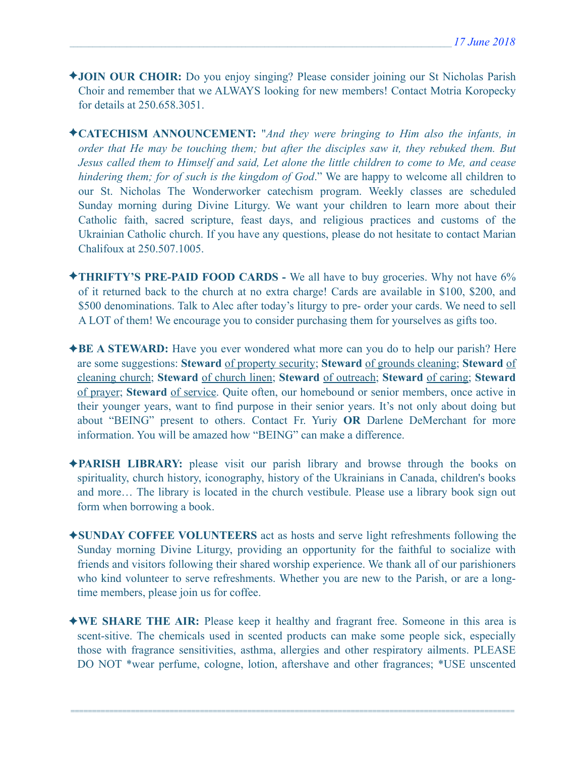- ✦**JOIN OUR CHOIR:** Do you enjoy singing? Please consider joining our St Nicholas Parish Choir and remember that we ALWAYS looking for new members! Contact Motria Koropecky for details at 250.658.3051.
- ✦**CATECHISM ANNOUNCEMENT:** "*And they were bringing to Him also the infants, in order that He may be touching them; but after the disciples saw it, they rebuked them. But Jesus called them to Himself and said, Let alone the little children to come to Me, and cease hindering them; for of such is the kingdom of God*." We are happy to welcome all children to our St. Nicholas The Wonderworker catechism program. Weekly classes are scheduled Sunday morning during Divine Liturgy. We want your children to learn more about their Catholic faith, sacred scripture, feast days, and religious practices and customs of the Ukrainian Catholic church. If you have any questions, please do not hesitate to contact Marian Chalifoux at 250.507.1005.
- ✦**THRIFTY'S PRE-PAID FOOD CARDS** We all have to buy groceries. Why not have 6% of it returned back to the church at no extra charge! Cards are available in \$100, \$200, and \$500 denominations. Talk to Alec after today's liturgy to pre- order your cards. We need to sell A LOT of them! We encourage you to consider purchasing them for yourselves as gifts too.
- ✦**BE A STEWARD:** Have you ever wondered what more can you do to help our parish? Here are some suggestions: **Steward** of property security; **Steward** of grounds cleaning; **Steward** of cleaning church; **Steward** of church linen; **Steward** of outreach; **Steward** of caring; **Steward** of prayer; **Steward** of service. Quite often, our homebound or senior members, once active in their younger years, want to find purpose in their senior years. It's not only about doing but about "BEING" present to others. Contact Fr. Yuriy **OR** Darlene DeMerchant for more information. You will be amazed how "BEING" can make a difference.
- ✦**PARISH LIBRARY:** please visit our parish library and browse through the books on spirituality, church history, iconography, history of the Ukrainians in Canada, children's books and more… The library is located in the church vestibule. Please use a library book sign out form when borrowing a book.
- ✦**SUNDAY COFFEE VOLUNTEERS** act as hosts and serve light refreshments following the Sunday morning Divine Liturgy, providing an opportunity for the faithful to socialize with friends and visitors following their shared worship experience. We thank all of our parishioners who kind volunteer to serve refreshments. Whether you are new to the Parish, or are a longtime members, please join us for coffee.
- ✦**WE SHARE THE AIR:** Please keep it healthy and fragrant free. Someone in this area is scent-sitive. The chemicals used in scented products can make some people sick, especially those with fragrance sensitivities, asthma, allergies and other respiratory ailments. PLEASE DO NOT \*wear perfume, cologne, lotion, aftershave and other fragrances; \*USE unscented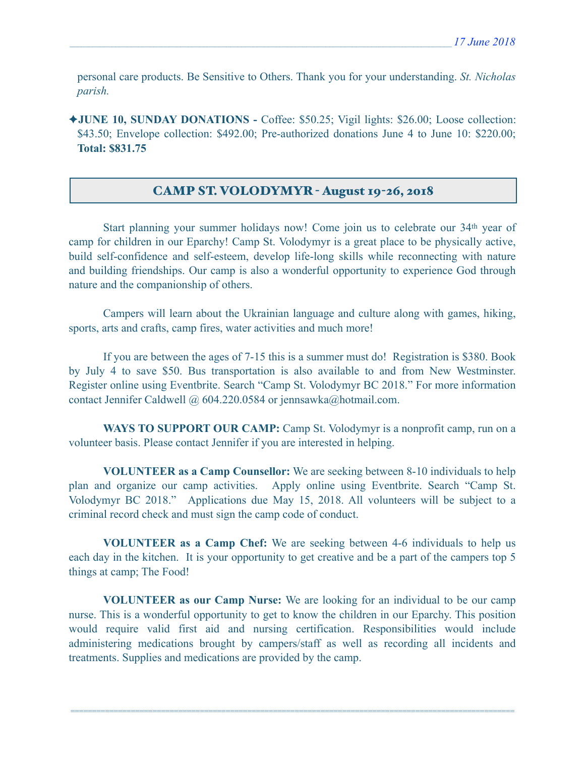personal care products. Be Sensitive to Others. Thank you for your understanding. *St. Nicholas parish.* 

✦**JUNE 10, SUNDAY DONATIONS -** Coffee: \$50.25; Vigil lights: \$26.00; Loose collection: \$43.50; Envelope collection: \$492.00; Pre-authorized donations June 4 to June 10: \$220.00; **Total: \$831.75**

### CAMP ST. VOLODYMYR - August 19-26, 2018

 Start planning your summer holidays now! Come join us to celebrate our 34th year of camp for children in our Eparchy! Camp St. Volodymyr is a great place to be physically active, build self-confidence and self-esteem, develop life-long skills while reconnecting with nature and building friendships. Our camp is also a wonderful opportunity to experience God through nature and the companionship of others.

 Campers will learn about the Ukrainian language and culture along with games, hiking, sports, arts and crafts, camp fires, water activities and much more!

 If you are between the ages of 7-15 this is a summer must do! Registration is \$380. Book by July 4 to save \$50. Bus transportation is also available to and from New Westminster. Register online using Eventbrite. Search "Camp St. Volodymyr BC 2018." For more information contact Jennifer Caldwell @ 604.220.0584 or [jennsawka@hotmail.com.](mailto:jennsawka@hotmail.com)

**WAYS TO SUPPORT OUR CAMP:** Camp St. Volodymyr is a nonprofit camp, run on a volunteer basis. Please contact Jennifer if you are interested in helping.

**VOLUNTEER as a Camp Counsellor:** We are seeking between 8-10 individuals to help plan and organize our camp activities. Apply online using Eventbrite. Search "Camp St. Volodymyr BC 2018." Applications due May 15, 2018. All volunteers will be subject to a criminal record check and must sign the camp code of conduct.

**VOLUNTEER as a Camp Chef:** We are seeking between 4-6 individuals to help us each day in the kitchen. It is your opportunity to get creative and be a part of the campers top 5 things at camp; The Food!

**VOLUNTEER as our Camp Nurse:** We are looking for an individual to be our camp nurse. This is a wonderful opportunity to get to know the children in our Eparchy. This position would require valid first aid and nursing certification. Responsibilities would include administering medications brought by campers/staff as well as recording all incidents and treatments. Supplies and medications are provided by the camp.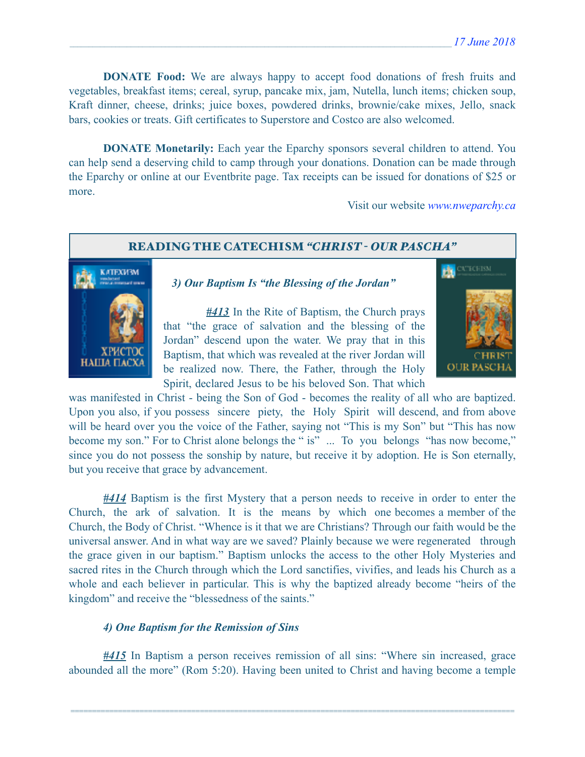**DONATE Food:** We are always happy to accept food donations of fresh fruits and vegetables, breakfast items; cereal, syrup, pancake mix, jam, Nutella, lunch items; chicken soup, Kraft dinner, cheese, drinks; juice boxes, powdered drinks, brownie/cake mixes, Jello, snack bars, cookies or treats. Gift certificates to Superstore and Costco are also welcomed.

 **DONATE Monetarily:** Each year the Eparchy sponsors several children to attend. You can help send a deserving child to camp through your donations. Donation can be made through the Eparchy or online at our Eventbrite page. Tax receipts can be issued for donations of \$25 or more.

Visit our website *[www.nweparchy.ca](http://www.nweparchy.ca)*

#### READING THE CATECHISM *"CHRIST - OUR PASCHA"*



 *3) Our Baptism Is "the Blessing of the Jordan"* 

 *#413* In the Rite of Baptism, the Church prays that "the grace of salvation and the blessing of the Jordan" descend upon the water. We pray that in this Baptism, that which was revealed at the river Jordan will be realized now. There, the Father, through the Holy Spirit, declared Jesus to be his beloved Son. That which



was manifested in Christ - being the Son of God - becomes the reality of all who are baptized. Upon you also, if you possess sincere piety, the Holy Spirit will descend, and from above will be heard over you the voice of the Father, saying not "This is my Son" but "This has now become my son." For to Christ alone belongs the " is" ... To you belongs "has now become," since you do not possess the sonship by nature, but receive it by adoption. He is Son eternally, but you receive that grace by advancement.

*#414* Baptism is the first Mystery that a person needs to receive in order to enter the Church, the ark of salvation. It is the means by which one becomes a member of the Church, the Body of Christ. "Whence is it that we are Christians? Through our faith would be the universal answer. And in what way are we saved? Plainly because we were regenerated through the grace given in our baptism." Baptism unlocks the access to the other Holy Mysteries and sacred rites in the Church through which the Lord sanctifies, vivifies, and leads his Church as a whole and each believer in particular. This is why the baptized already become "heirs of the kingdom" and receive the "blessedness of the saints."

#### *4) One Baptism for the Remission of Sins*

*#415* In Baptism a person receives remission of all sins: "Where sin increased, grace abounded all the more" (Rom 5:20). Having been united to Christ and having become a temple